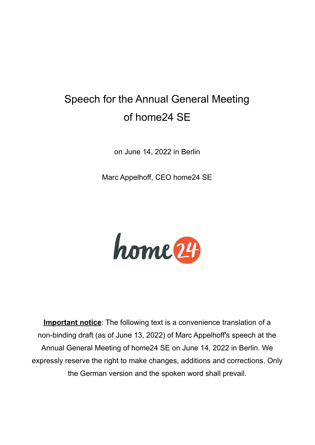## Speech for the Annual General Meeting of home24 SE

on June 14, 2022 in Berlin

Marc Appelhoff, CEO home24 SE



**Important notice**: The following text is a convenience translation of a non-binding draft (as of June 13, 2022) of Marc Appelhoff's speech at the Annual General Meeting of home24 SE on June 14, 2022 in Berlin. We expressly reserve the right to make changes, additions and corrections. Only the German version and the spoken word shall prevail.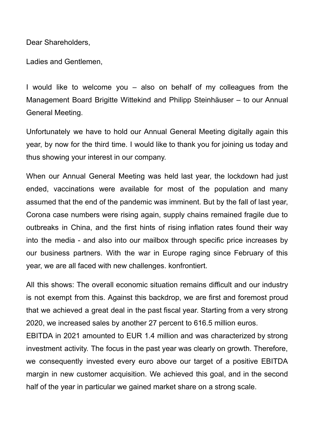Dear Shareholders,

Ladies and Gentlemen,

I would like to welcome you – also on behalf of my colleagues from the Management Board Brigitte Wittekind and Philipp Steinhäuser – to our Annual General Meeting.

Unfortunately we have to hold our Annual General Meeting digitally again this year, by now for the third time. I would like to thank you for joining us today and thus showing your interest in our company.

When our Annual General Meeting was held last year, the lockdown had just ended, vaccinations were available for most of the population and many assumed that the end of the pandemic was imminent. But by the fall of last year, Corona case numbers were rising again, supply chains remained fragile due to outbreaks in China, and the first hints of rising inflation rates found their way into the media - and also into our mailbox through specific price increases by our business partners. With the war in Europe raging since February of this year, we are all faced with new challenges. konfrontiert.

All this shows: The overall economic situation remains difficult and our industry is not exempt from this. Against this backdrop, we are first and foremost proud that we achieved a great deal in the past fiscal year. Starting from a very strong 2020, we increased sales by another 27 percent to 616.5 million euros.

EBITDA in 2021 amounted to EUR 1.4 million and was characterized by strong investment activity. The focus in the past year was clearly on growth. Therefore, we consequently invested every euro above our target of a positive EBITDA margin in new customer acquisition. We achieved this goal, and in the second half of the year in particular we gained market share on a strong scale.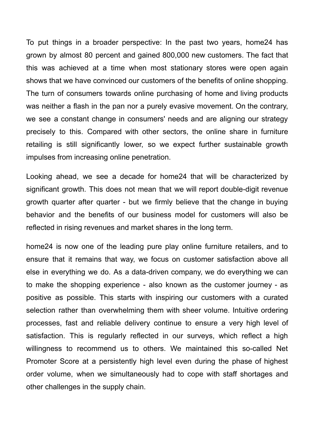To put things in a broader perspective: In the past two years, home24 has grown by almost 80 percent and gained 800,000 new customers. The fact that this was achieved at a time when most stationary stores were open again shows that we have convinced our customers of the benefits of online shopping. The turn of consumers towards online purchasing of home and living products was neither a flash in the pan nor a purely evasive movement. On the contrary, we see a constant change in consumers' needs and are aligning our strategy precisely to this. Compared with other sectors, the online share in furniture retailing is still significantly lower, so we expect further sustainable growth impulses from increasing online penetration.

Looking ahead, we see a decade for home24 that will be characterized by significant growth. This does not mean that we will report double-digit revenue growth quarter after quarter - but we firmly believe that the change in buying behavior and the benefits of our business model for customers will also be reflected in rising revenues and market shares in the long term.

home24 is now one of the leading pure play online furniture retailers, and to ensure that it remains that way, we focus on customer satisfaction above all else in everything we do. As a data-driven company, we do everything we can to make the shopping experience - also known as the customer journey - as positive as possible. This starts with inspiring our customers with a curated selection rather than overwhelming them with sheer volume. Intuitive ordering processes, fast and reliable delivery continue to ensure a very high level of satisfaction. This is regularly reflected in our surveys, which reflect a high willingness to recommend us to others. We maintained this so-called Net Promoter Score at a persistently high level even during the phase of highest order volume, when we simultaneously had to cope with staff shortages and other challenges in the supply chain.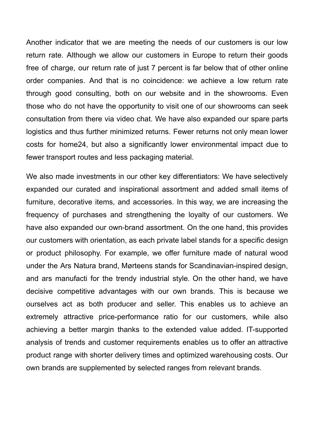Another indicator that we are meeting the needs of our customers is our low return rate. Although we allow our customers in Europe to return their goods free of charge, our return rate of just 7 percent is far below that of other online order companies. And that is no coincidence: we achieve a low return rate through good consulting, both on our website and in the showrooms. Even those who do not have the opportunity to visit one of our showrooms can seek consultation from there via video chat. We have also expanded our spare parts logistics and thus further minimized returns. Fewer returns not only mean lower costs for home24, but also a significantly lower environmental impact due to fewer transport routes and less packaging material.

We also made investments in our other key differentiators: We have selectively expanded our curated and inspirational assortment and added small items of furniture, decorative items, and accessories. In this way, we are increasing the frequency of purchases and strengthening the loyalty of our customers. We have also expanded our own-brand assortment. On the one hand, this provides our customers with orientation, as each private label stands for a specific design or product philosophy. For example, we offer furniture made of natural wood under the Ars Natura brand, Mørteens stands for Scandinavian-inspired design, and ars manufacti for the trendy industrial style. On the other hand, we have decisive competitive advantages with our own brands. This is because we ourselves act as both producer and seller. This enables us to achieve an extremely attractive price-performance ratio for our customers, while also achieving a better margin thanks to the extended value added. IT-supported analysis of trends and customer requirements enables us to offer an attractive product range with shorter delivery times and optimized warehousing costs. Our own brands are supplemented by selected ranges from relevant brands.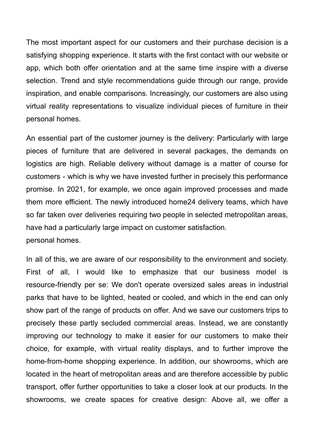The most important aspect for our customers and their purchase decision is a satisfying shopping experience. It starts with the first contact with our website or app, which both offer orientation and at the same time inspire with a diverse selection. Trend and style recommendations guide through our range, provide inspiration, and enable comparisons. Increasingly, our customers are also using virtual reality representations to visualize individual pieces of furniture in their personal homes.

An essential part of the customer journey is the delivery: Particularly with large pieces of furniture that are delivered in several packages, the demands on logistics are high. Reliable delivery without damage is a matter of course for customers - which is why we have invested further in precisely this performance promise. In 2021, for example, we once again improved processes and made them more efficient. The newly introduced home24 delivery teams, which have so far taken over deliveries requiring two people in selected metropolitan areas, have had a particularly large impact on customer satisfaction. personal homes.

In all of this, we are aware of our responsibility to the environment and society. First of all, I would like to emphasize that our business model is resource-friendly per se: We don't operate oversized sales areas in industrial parks that have to be lighted, heated or cooled, and which in the end can only show part of the range of products on offer. And we save our customers trips to precisely these partly secluded commercial areas. Instead, we are constantly improving our technology to make it easier for our customers to make their choice, for example, with virtual reality displays, and to further improve the home-from-home shopping experience. In addition, our showrooms, which are located in the heart of metropolitan areas and are therefore accessible by public transport, offer further opportunities to take a closer look at our products. In the showrooms, we create spaces for creative design: Above all, we offer a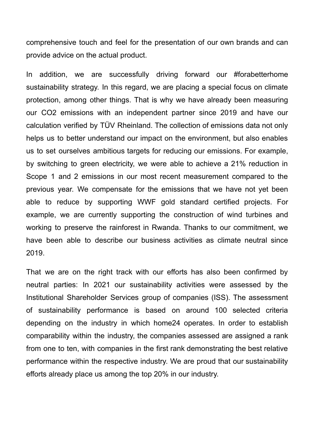comprehensive touch and feel for the presentation of our own brands and can provide advice on the actual product.

In addition, we are successfully driving forward our #forabetterhome sustainability strategy. In this regard, we are placing a special focus on climate protection, among other things. That is why we have already been measuring our CO2 emissions with an independent partner since 2019 and have our calculation verified by TÜV Rheinland. The collection of emissions data not only helps us to better understand our impact on the environment, but also enables us to set ourselves ambitious targets for reducing our emissions. For example, by switching to green electricity, we were able to achieve a 21% reduction in Scope 1 and 2 emissions in our most recent measurement compared to the previous year. We compensate for the emissions that we have not yet been able to reduce by supporting WWF gold standard certified projects. For example, we are currently supporting the construction of wind turbines and working to preserve the rainforest in Rwanda. Thanks to our commitment, we have been able to describe our business activities as climate neutral since 2019.

That we are on the right track with our efforts has also been confirmed by neutral parties: In 2021 our sustainability activities were assessed by the Institutional Shareholder Services group of companies (ISS). The assessment of sustainability performance is based on around 100 selected criteria depending on the industry in which home24 operates. In order to establish comparability within the industry, the companies assessed are assigned a rank from one to ten, with companies in the first rank demonstrating the best relative performance within the respective industry. We are proud that our sustainability efforts already place us among the top 20% in our industry.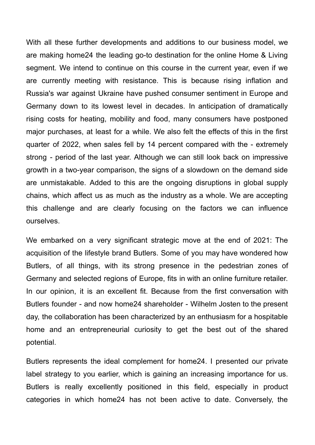With all these further developments and additions to our business model, we are making home24 the leading go-to destination for the online Home & Living segment. We intend to continue on this course in the current year, even if we are currently meeting with resistance. This is because rising inflation and Russia's war against Ukraine have pushed consumer sentiment in Europe and Germany down to its lowest level in decades. In anticipation of dramatically rising costs for heating, mobility and food, many consumers have postponed major purchases, at least for a while. We also felt the effects of this in the first quarter of 2022, when sales fell by 14 percent compared with the - extremely strong - period of the last year. Although we can still look back on impressive growth in a two-year comparison, the signs of a slowdown on the demand side are unmistakable. Added to this are the ongoing disruptions in global supply chains, which affect us as much as the industry as a whole. We are accepting this challenge and are clearly focusing on the factors we can influence ourselves.

We embarked on a very significant strategic move at the end of 2021: The acquisition of the lifestyle brand Butlers. Some of you may have wondered how Butlers, of all things, with its strong presence in the pedestrian zones of Germany and selected regions of Europe, fits in with an online furniture retailer. In our opinion, it is an excellent fit. Because from the first conversation with Butlers founder - and now home24 shareholder - Wilhelm Josten to the present day, the collaboration has been characterized by an enthusiasm for a hospitable home and an entrepreneurial curiosity to get the best out of the shared potential.

Butlers represents the ideal complement for home24. I presented our private label strategy to you earlier, which is gaining an increasing importance for us. Butlers is really excellently positioned in this field, especially in product categories in which home24 has not been active to date. Conversely, the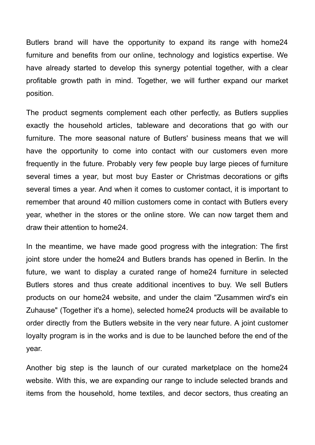Butlers brand will have the opportunity to expand its range with home24 furniture and benefits from our online, technology and logistics expertise. We have already started to develop this synergy potential together, with a clear profitable growth path in mind. Together, we will further expand our market position.

The product segments complement each other perfectly, as Butlers supplies exactly the household articles, tableware and decorations that go with our furniture. The more seasonal nature of Butlers' business means that we will have the opportunity to come into contact with our customers even more frequently in the future. Probably very few people buy large pieces of furniture several times a year, but most buy Easter or Christmas decorations or gifts several times a year. And when it comes to customer contact, it is important to remember that around 40 million customers come in contact with Butlers every year, whether in the stores or the online store. We can now target them and draw their attention to home24.

In the meantime, we have made good progress with the integration: The first joint store under the home24 and Butlers brands has opened in Berlin. In the future, we want to display a curated range of home24 furniture in selected Butlers stores and thus create additional incentives to buy. We sell Butlers products on our home24 website, and under the claim "Zusammen wird's ein Zuhause" (Together it's a home), selected home24 products will be available to order directly from the Butlers website in the very near future. A joint customer loyalty program is in the works and is due to be launched before the end of the year.

Another big step is the launch of our curated marketplace on the home24 website. With this, we are expanding our range to include selected brands and items from the household, home textiles, and decor sectors, thus creating an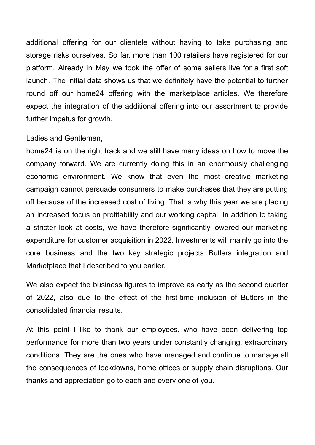additional offering for our clientele without having to take purchasing and storage risks ourselves. So far, more than 100 retailers have registered for our platform. Already in May we took the offer of some sellers live for a first soft launch. The initial data shows us that we definitely have the potential to further round off our home24 offering with the marketplace articles. We therefore expect the integration of the additional offering into our assortment to provide further impetus for growth.

## Ladies and Gentlemen,

home24 is on the right track and we still have many ideas on how to move the company forward. We are currently doing this in an enormously challenging economic environment. We know that even the most creative marketing campaign cannot persuade consumers to make purchases that they are putting off because of the increased cost of living. That is why this year we are placing an increased focus on profitability and our working capital. In addition to taking a stricter look at costs, we have therefore significantly lowered our marketing expenditure for customer acquisition in 2022. Investments will mainly go into the core business and the two key strategic projects Butlers integration and Marketplace that I described to you earlier.

We also expect the business figures to improve as early as the second quarter of 2022, also due to the effect of the first-time inclusion of Butlers in the consolidated financial results.

At this point I like to thank our employees, who have been delivering top performance for more than two years under constantly changing, extraordinary conditions. They are the ones who have managed and continue to manage all the consequences of lockdowns, home offices or supply chain disruptions. Our thanks and appreciation go to each and every one of you.